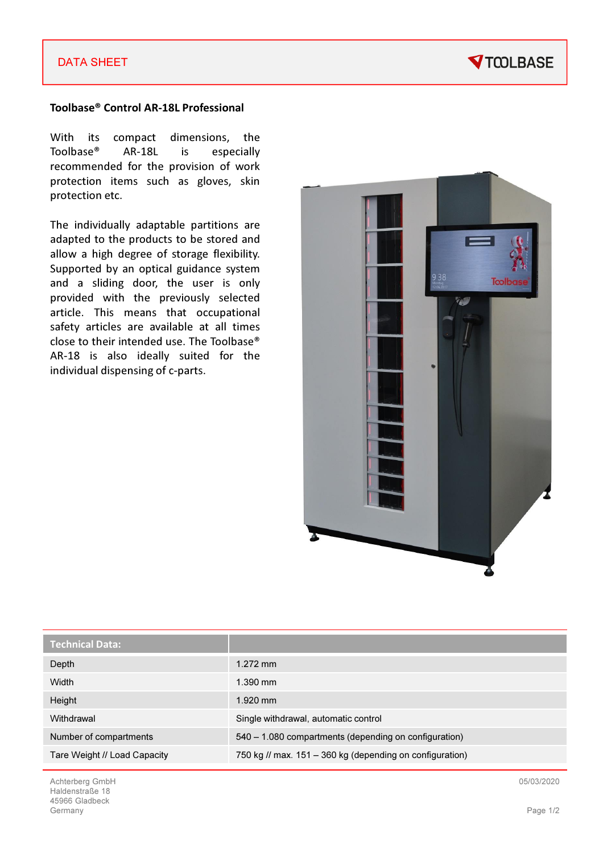### DATA SHEET



#### Toolbase® Control AR-18L Professional

With its compact dimensions, the Toolbase® AR-18L is especially recommended for the provision of work protection items such as gloves, skin protection etc.

The individually adaptable partitions are adapted to the products to be stored and allow a high degree of storage flexibility. Supported by an optical guidance system and a sliding door, the user is only provided with the previously selected article. This means that occupational safety articles are available at all times close to their intended use. The Toolbase® AR-18 is also ideally suited for the individual dispensing of c-parts.



| <b>Technical Data:</b>       |                                                          |
|------------------------------|----------------------------------------------------------|
| Depth                        | $1.272$ mm                                               |
| Width                        | $1.390$ mm                                               |
| Height                       | $1.920$ mm                                               |
| Withdrawal                   | Single withdrawal, automatic control                     |
| Number of compartments       | 540 – 1.080 compartments (depending on configuration)    |
| Tare Weight // Load Capacity | 750 kg // max. 151 – 360 kg (depending on configuration) |

05/03/2020